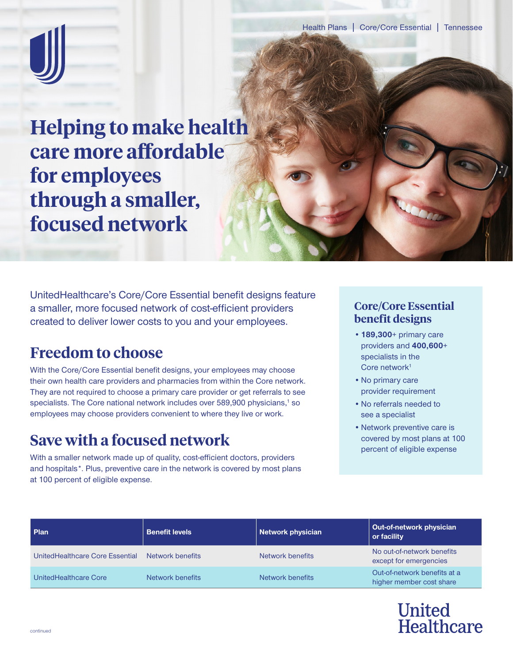

**Helping to make health care more affordable for employees through a smaller, focused network**

UnitedHealthcare's Core/Core Essential benefit designs feature a smaller, more focused network of cost-efficient providers created to deliver lower costs to you and your employees.

## **Freedom to choose**

With the Core/Core Essential benefit designs, your employees may choose their own health care providers and pharmacies from within the Core network. They are not required to choose a primary care provider or get referrals to see specialists. The Core national network includes over 589,900 physicians,<sup>1</sup> so employees may choose providers convenient to where they live or work.

## **Save with a focused network**

With a smaller network made up of quality, cost-efficient doctors, providers and hospitals\*. Plus, preventive care in the network is covered by most plans at 100 percent of eligible expense.

## **Core/Core Essential benefit designs**

- **•189,300**+ primary care providers and **400,600**+ specialists in the Core network<sup>1</sup>
- •No primary care provider requirement
- •No referrals needed to see a specialist
- •Network preventive care is covered by most plans at 100 percent of eligible expense

| Plan                            | <b>Benefit levels</b> | Network physician | Out-of-network physician<br>or facility                  |
|---------------------------------|-----------------------|-------------------|----------------------------------------------------------|
| UnitedHealthcare Core Essential | Network benefits      | Network benefits  | No out-of-network benefits<br>except for emergencies     |
| UnitedHealthcare Core           | Network benefits      | Network benefits  | Out-of-network benefits at a<br>higher member cost share |